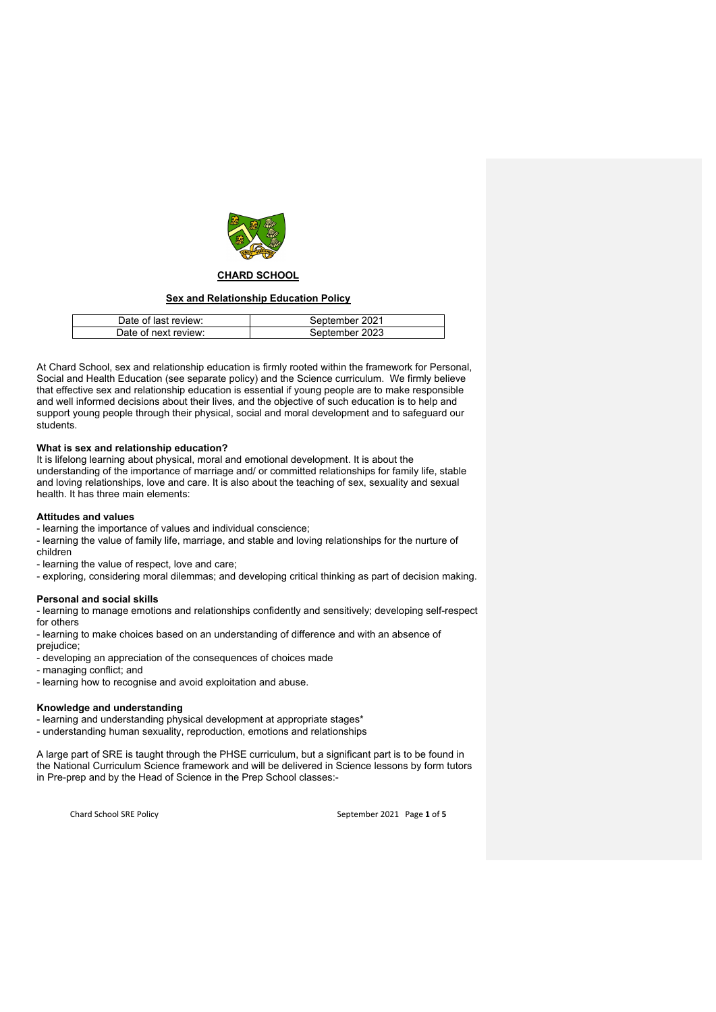

## **CHARD SCHOOL**

## **Sex and Relationship Education Policy**

| Date of last review: | September 2021 |
|----------------------|----------------|
| Date of next review: | September 2023 |

At Chard School, sex and relationship education is firmly rooted within the framework for Personal, Social and Health Education (see separate policy) and the Science curriculum. We firmly believe that effective sex and relationship education is essential if young people are to make responsible and well informed decisions about their lives, and the objective of such education is to help and support young people through their physical, social and moral development and to safeguard our students.

#### **What is sex and relationship education?**

It is lifelong learning about physical, moral and emotional development. It is about the understanding of the importance of marriage and/ or committed relationships for family life, stable and loving relationships, love and care. It is also about the teaching of sex, sexuality and sexual health. It has three main elements:

#### **Attitudes and values**

- learning the importance of values and individual conscience;

- learning the value of family life, marriage, and stable and loving relationships for the nurture of children

- learning the value of respect, love and care;

- exploring, considering moral dilemmas; and developing critical thinking as part of decision making.

#### **Personal and social skills**

- learning to manage emotions and relationships confidently and sensitively; developing self-respect for others

- learning to make choices based on an understanding of difference and with an absence of

prejudice;

- developing an appreciation of the consequences of choices made
- managing conflict; and
- learning how to recognise and avoid exploitation and abuse.

## **Knowledge and understanding**

- learning and understanding physical development at appropriate stages\*
- understanding human sexuality, reproduction, emotions and relationships

A large part of SRE is taught through the PHSE curriculum, but a significant part is to be found in the National Curriculum Science framework and will be delivered in Science lessons by form tutors in Pre-prep and by the Head of Science in the Prep School classes:-

Chard School SRE Policy September 2021 Page 1 of **5**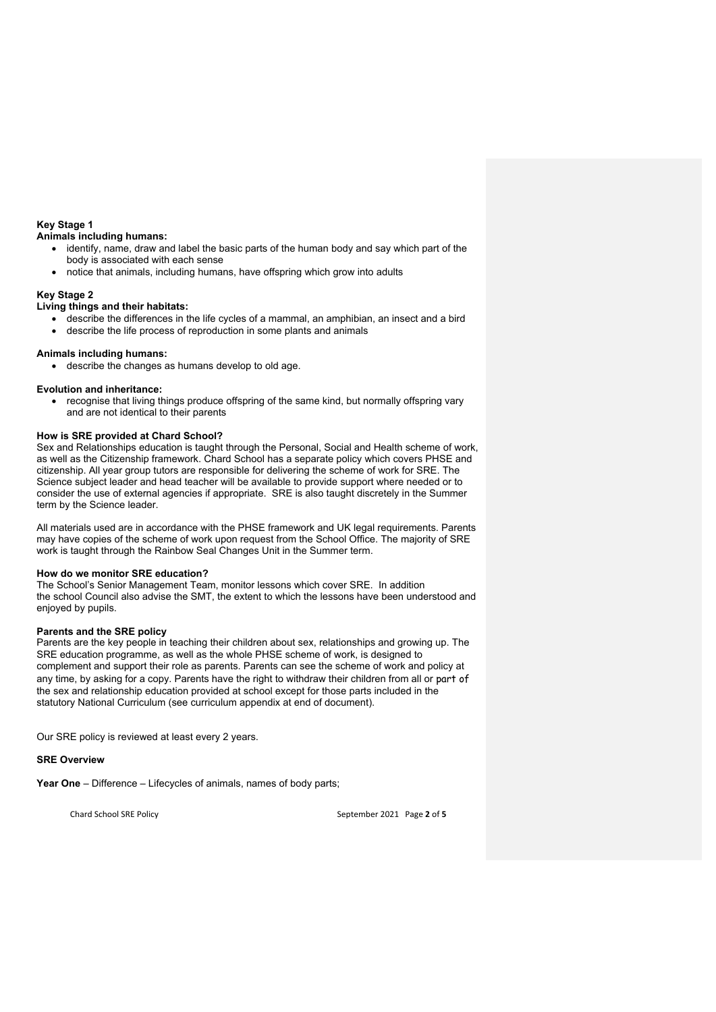### **Key Stage 1**

# **Animals including humans:**

- identify, name, draw and label the basic parts of the human body and say which part of the body is associated with each sense
- notice that animals, including humans, have offspring which grow into adults

### **Key Stage 2**

### **Living things and their habitats:**

- describe the differences in the life cycles of a mammal, an amphibian, an insect and a bird
- describe the life process of reproduction in some plants and animals

### **Animals including humans:**

• describe the changes as humans develop to old age.

### **Evolution and inheritance:**

• recognise that living things produce offspring of the same kind, but normally offspring vary and are not identical to their parents

### **How is SRE provided at Chard School?**

Sex and Relationships education is taught through the Personal, Social and Health scheme of work, as well as the Citizenship framework. Chard School has a separate policy which covers PHSE and citizenship. All year group tutors are responsible for delivering the scheme of work for SRE. The Science subject leader and head teacher will be available to provide support where needed or to consider the use of external agencies if appropriate. SRE is also taught discretely in the Summer term by the Science leader.

All materials used are in accordance with the PHSE framework and UK legal requirements. Parents may have copies of the scheme of work upon request from the School Office. The majority of SRE work is taught through the Rainbow Seal Changes Unit in the Summer term.

### **How do we monitor SRE education?**

The School's Senior Management Team, monitor lessons which cover SRE. In addition the school Council also advise the SMT, the extent to which the lessons have been understood and enjoyed by pupils.

# **Parents and the SRE policy**

Parents are the key people in teaching their children about sex, relationships and growing up. The SRE education programme, as well as the whole PHSE scheme of work, is designed to complement and support their role as parents. Parents can see the scheme of work and policy at any time, by asking for a copy. Parents have the right to withdraw their children from all or part of the sex and relationship education provided at school except for those parts included in the statutory National Curriculum (see curriculum appendix at end of document).

Our SRE policy is reviewed at least every 2 years.

**SRE Overview**

**Year One** – Difference – Lifecycles of animals, names of body parts;

Chard School SRE Policy September 2021 Page **2** of **5**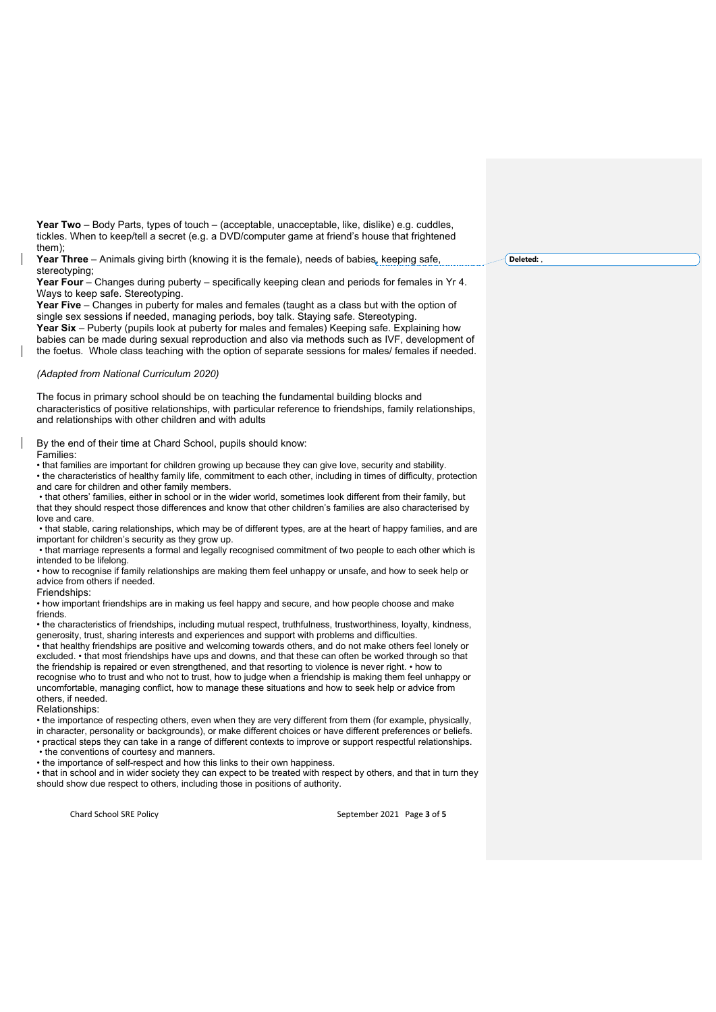**Year Two** – Body Parts, types of touch – (acceptable, unacceptable, like, dislike) e.g. cuddles, tickles. When to keep/tell a secret (e.g. a DVD/computer game at friend's house that frightened them);

**Year Three** – Animals giving birth (knowing it is the female), needs of babies, keeping safe, stereotyping;

**Year Four** – Changes during puberty – specifically keeping clean and periods for females in Yr 4. Ways to keep safe. Stereotyping.

**Year Five** – Changes in puberty for males and females (taught as a class but with the option of single sex sessions if needed, managing periods, boy talk. Staying safe. Stereotyping. **Year Six** – Puberty (pupils look at puberty for males and females) Keeping safe. Explaining how

babies can be made during sexual reproduction and also via methods such as IVF, development of the foetus. Whole class teaching with the option of separate sessions for males/ females if needed.

### *(Adapted from National Curriculum 2020)*

The focus in primary school should be on teaching the fundamental building blocks and characteristics of positive relationships, with particular reference to friendships, family relationships, and relationships with other children and with adults

By the end of their time at Chard School, pupils should know:

Families:

• that families are important for children growing up because they can give love, security and stability.

• the characteristics of healthy family life, commitment to each other, including in times of difficulty, protection and care for children and other family members.

• that others' families, either in school or in the wider world, sometimes look different from their family, but that they should respect those differences and know that other children's families are also characterised by love and care.

• that stable, caring relationships, which may be of different types, are at the heart of happy families, and are important for children's security as they grow up.

• that marriage represents a formal and legally recognised commitment of two people to each other which is intended to be lifelong.

• how to recognise if family relationships are making them feel unhappy or unsafe, and how to seek help or advice from others if needed.

Friendships:

• how important friendships are in making us feel happy and secure, and how people choose and make friends.

• the characteristics of friendships, including mutual respect, truthfulness, trustworthiness, loyalty, kindness, generosity, trust, sharing interests and experiences and support with problems and difficulties.

• that healthy friendships are positive and welcoming towards others, and do not make others feel lonely or excluded. • that most friendships have ups and downs, and that these can often be worked through so that the friendship is repaired or even strengthened, and that resorting to violence is never right. • how to recognise who to trust and who not to trust, how to judge when a friendship is making them feel unhappy or uncomfortable, managing conflict, how to manage these situations and how to seek help or advice from others, if needed.

Relationships:

• the importance of respecting others, even when they are very different from them (for example, physically, in character, personality or backgrounds), or make different choices or have different preferences or beliefs.

• practical steps they can take in a range of different contexts to improve or support respectful relationships. • the conventions of courtesy and manners.

• the importance of self-respect and how this links to their own happiness.

• that in school and in wider society they can expect to be treated with respect by others, and that in turn they should show due respect to others, including those in positions of authority.

Chard School SRE Policy September 2021 Page **3** of **5** 

**Deleted:** ,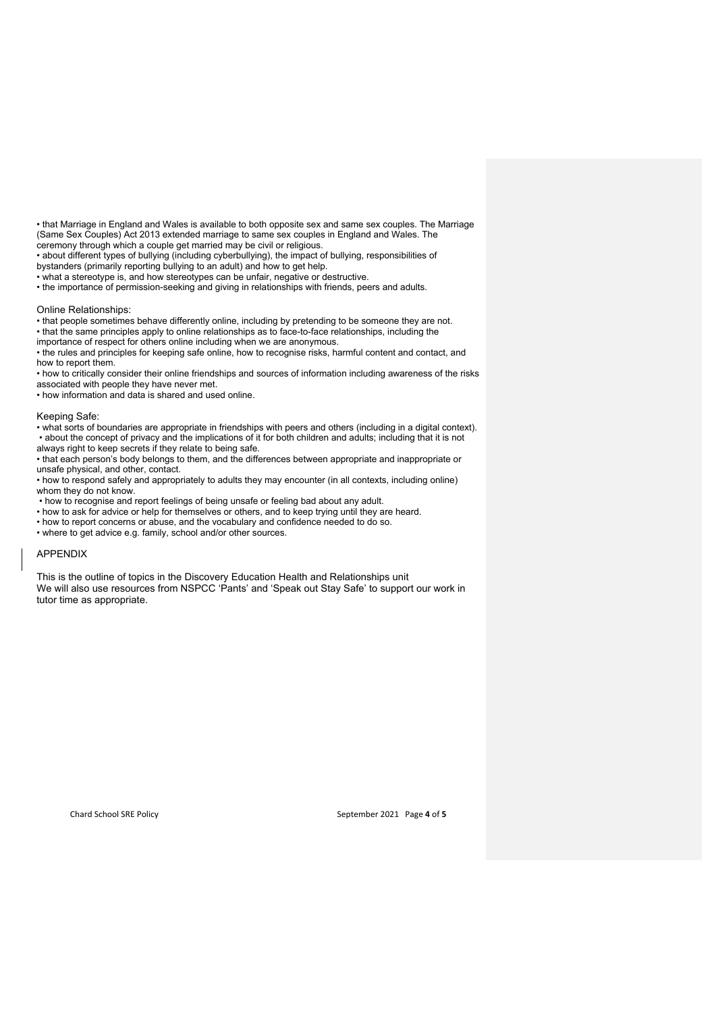• that Marriage in England and Wales is available to both opposite sex and same sex couples. The Marriage (Same Sex Couples) Act 2013 extended marriage to same sex couples in England and Wales. The ceremony through which a couple get married may be civil or religious.

• about different types of bullying (including cyberbullying), the impact of bullying, responsibilities of bystanders (primarily reporting bullying to an adult) and how to get help.

• what a stereotype is, and how stereotypes can be unfair, negative or destructive.

• the importance of permission-seeking and giving in relationships with friends, peers and adults.

Online Relationships:

• that people sometimes behave differently online, including by pretending to be someone they are not.

• that the same principles apply to online relationships as to face-to-face relationships, including the

importance of respect for others online including when we are anonymous.

• the rules and principles for keeping safe online, how to recognise risks, harmful content and contact, and how to report them.

• how to critically consider their online friendships and sources of information including awareness of the risks associated with people they have never met.

• how information and data is shared and used online.

Keeping Safe:

• what sorts of boundaries are appropriate in friendships with peers and others (including in a digital context). • about the concept of privacy and the implications of it for both children and adults; including that it is not always right to keep secrets if they relate to being safe.

• that each person's body belongs to them, and the differences between appropriate and inappropriate or unsafe physical, and other, contact.

• how to respond safely and appropriately to adults they may encounter (in all contexts, including online) whom they do not know.

• how to recognise and report feelings of being unsafe or feeling bad about any adult.

• how to ask for advice or help for themselves or others, and to keep trying until they are heard.

• how to report concerns or abuse, and the vocabulary and confidence needed to do so.

• where to get advice e.g. family, school and/or other sources.

#### APPENDIX

This is the outline of topics in the Discovery Education Health and Relationships unit We will also use resources from NSPCC 'Pants' and 'Speak out Stay Safe' to support our work in tutor time as appropriate.

Chard School SRE Policy September 2021 Page 4 of **5**